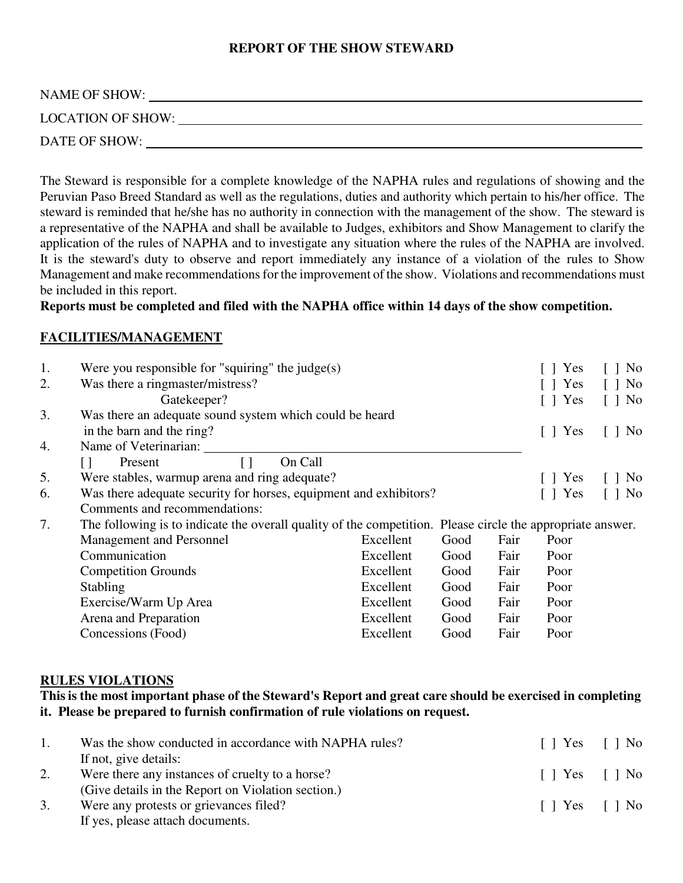## **REPORT OF THE SHOW STEWARD**

| <b>NAME OF SHOW:</b>     |  |
|--------------------------|--|
| <b>LOCATION OF SHOW:</b> |  |
| DATE OF SHOW:            |  |

The Steward is responsible for a complete knowledge of the NAPHA rules and regulations of showing and the Peruvian Paso Breed Standard as well as the regulations, duties and authority which pertain to his/her office. The steward is reminded that he/she has no authority in connection with the management of the show. The steward is a representative of the NAPHA and shall be available to Judges, exhibitors and Show Management to clarify the application of the rules of NAPHA and to investigate any situation where the rules of the NAPHA are involved. It is the steward's duty to observe and report immediately any instance of a violation of the rules to Show Management and make recommendations for the improvement of the show. Violations and recommendations must be included in this report.

**Reports must be completed and filed with the NAPHA office within 14 days of the show competition.**

## **FACILITIES/MANAGEMENT**

| 1. | Were you responsible for "squiring" the judge $(s)$                                                        |           |      |      | T Yes                 | $\lceil$   No        |
|----|------------------------------------------------------------------------------------------------------------|-----------|------|------|-----------------------|----------------------|
| 2. | Was there a ringmaster/mistress?                                                                           |           |      |      | $\lceil \ \rceil$ Yes | $\lceil \ \rceil$ No |
|    | Gatekeeper?                                                                                                |           |      |      | $\lceil \ \rceil$ Yes | $\lceil \ \rceil$ No |
| 3. | Was there an adequate sound system which could be heard                                                    |           |      |      |                       |                      |
|    | in the barn and the ring?                                                                                  |           |      |      | $\lceil \ \rceil$ Yes | No                   |
| 4. | Name of Veterinarian:                                                                                      |           |      |      |                       |                      |
|    | On Call<br>Present<br>$\mathsf{L}$                                                                         |           |      |      |                       |                      |
| 5. | Were stables, warmup arena and ring adequate?                                                              |           |      |      | I Pres                | No                   |
| 6. | Was there adequate security for horses, equipment and exhibitors?                                          |           |      |      | $\lceil \ \rceil$ Yes | No                   |
|    | Comments and recommendations:                                                                              |           |      |      |                       |                      |
| 7. | The following is to indicate the overall quality of the competition. Please circle the appropriate answer. |           |      |      |                       |                      |
|    | Management and Personnel                                                                                   | Excellent | Good | Fair | Poor                  |                      |
|    | Communication                                                                                              | Excellent | Good | Fair | Poor                  |                      |
|    | <b>Competition Grounds</b>                                                                                 | Excellent | Good | Fair | Poor                  |                      |
|    | <b>Stabling</b>                                                                                            | Excellent | Good | Fair | Poor                  |                      |
|    | Exercise/Warm Up Area                                                                                      | Excellent | Good | Fair | Poor                  |                      |
|    | Arena and Preparation                                                                                      | Excellent | Good | Fair | Poor                  |                      |
|    | Concessions (Food)                                                                                         | Excellent | Good | Fair | Poor                  |                      |
|    |                                                                                                            |           |      |      |                       |                      |

#### **RULES VIOLATIONS**

#### **This is the most important phase of the Steward's Report and great care should be exercised in completing it. Please be prepared to furnish confirmation of rule violations on request.**

|  | Was the show conducted in accordance with NAPHA rules? | $\lceil$   Yes $\lceil$   No |  |
|--|--------------------------------------------------------|------------------------------|--|
|  | If not, give details:                                  |                              |  |
|  | Were there any instances of cruelty to a horse?        | $\lceil$   Yes $\lceil$   No |  |
|  | (Give details in the Report on Violation section.)     |                              |  |
|  | Were any protests or grievances filed?                 | $\lceil$   Yes $\lceil$   No |  |
|  | If yes, please attach documents.                       |                              |  |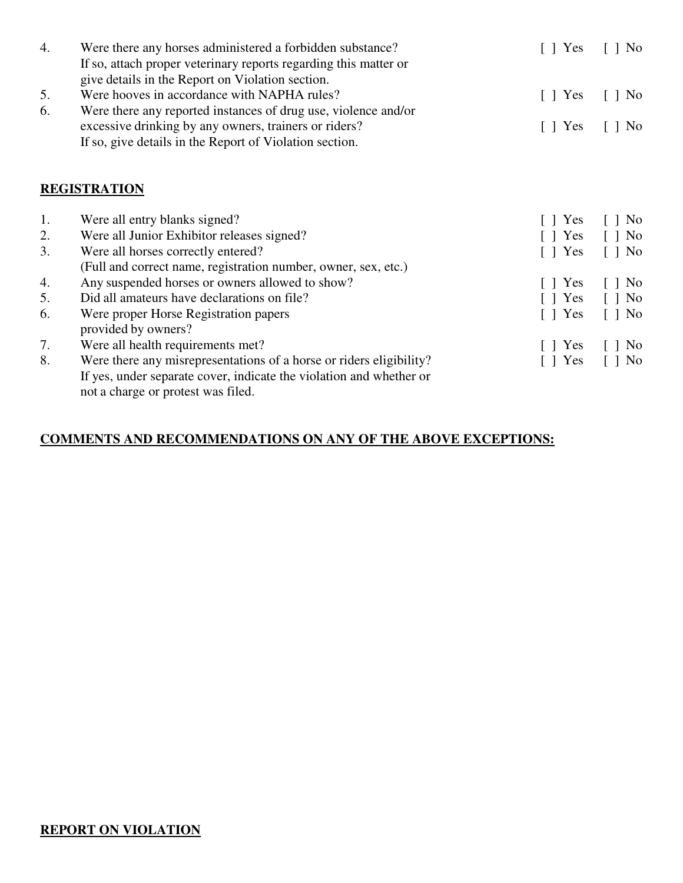| 4. | Were there any horses administered a forbidden substance?        | $\lceil$   Yes $\lceil$   No |  |
|----|------------------------------------------------------------------|------------------------------|--|
|    | If so, attach proper veterinary reports regarding this matter or |                              |  |
|    | give details in the Report on Violation section.                 |                              |  |
| 5. | Were hooves in accordance with NAPHA rules?                      | $\lceil$   Yes $\lceil$   No |  |
| 6. | Were there any reported instances of drug use, violence and/or   |                              |  |
|    | excessive drinking by any owners, trainers or riders?            | $\lceil$   Yes $\lceil$   No |  |
|    | If so, give details in the Report of Violation section.          |                              |  |

# **REGISTRATION**

| 1. | Were all entry blanks signed?                                       | $\lceil \ \rceil$ Yes | $\lceil \ \rceil$ No |
|----|---------------------------------------------------------------------|-----------------------|----------------------|
| 2. | Were all Junior Exhibitor releases signed?                          | $\lceil \ \rceil$ Yes | $\lceil \ \rceil$ No |
| 3. | Were all horses correctly entered?                                  | $\lceil \ \rceil$ Yes | $\lceil \ \rceil$ No |
|    | (Full and correct name, registration number, owner, sex, etc.)      |                       |                      |
| 4. | Any suspended horses or owners allowed to show?                     | $\lceil \ \rceil$ Yes | $\lceil \ \rceil$ No |
| 5. | Did all amateurs have declarations on file?                         | $\lceil \ \rceil$ Yes | $\lceil \ \rceil$ No |
| 6. | Were proper Horse Registration papers                               | $\lceil \ \rceil$ Yes | $\lceil \ \rceil$ No |
|    | provided by owners?                                                 |                       |                      |
| 7. | Were all health requirements met?                                   | $\lceil \ \rceil$ Yes | $\lceil \ \rceil$ No |
| 8. | Were there any misrepresentations of a horse or riders eligibility? | $\lceil \ \rceil$ Yes | $\lceil \ \rceil$ No |
|    | If yes, under separate cover, indicate the violation and whether or |                       |                      |
|    | not a charge or protest was filed.                                  |                       |                      |

# **COMMENTS AND RECOMMENDATIONS ON ANY OF THE ABOVE EXCEPTIONS:**